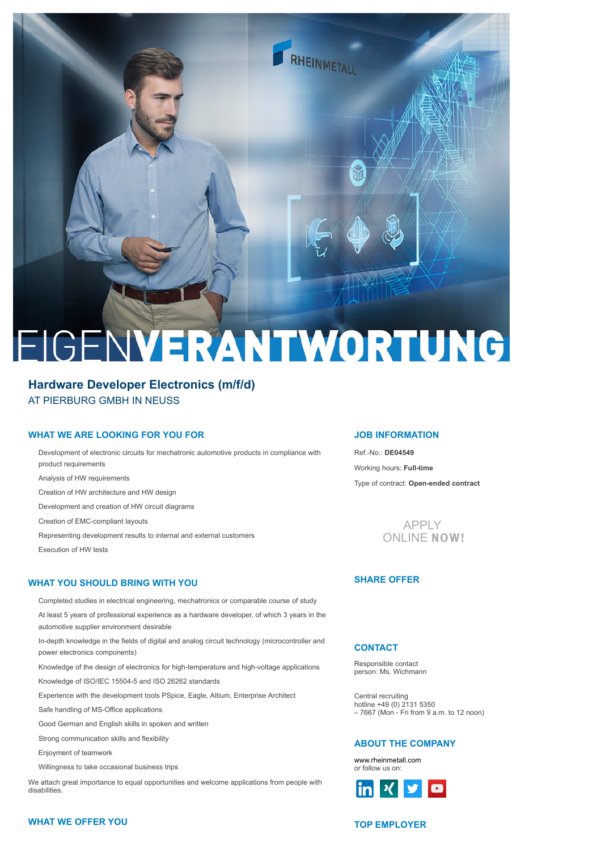

# EIGENVERANTWORTUNG

# **Hardware Developer Electronics (m/f/d)** AT PIERBURG GMBH IN NEUSS

## **WHAT WE ARE LOOKING FOR YOU FOR**

Development of electronic circuits for mechatronic automotive products in compliance with product requirements

Analysis of HW requirements

Creation of HW architecture and HW design

Development and creation of HW circuit diagrams

Creation of EMC-compliant layouts

Representing development results to internal and external customers Execution of HW tests

#### **WHAT YOU SHOULD BRING WITH YOU**

Completed studies in electrical engineering, mechatronics or comparable course of study

At least 5 years of professional experience as a hardware developer, of which 3 years in the automotive supplier environment desirable

In-depth knowledge in the fields of digital and analog circuit technology (microcontroller and power electronics components)

Knowledge of the design of electronics for high-temperature and high-voltage applications

Knowledge of ISO/IEC 15504-5 and ISO 26262 standards

Experience with the development tools PSpice, Eagle, Altium, Enterprise Architect

Safe handling of MS-Office applications

Good German and English skills in spoken and written

Strong communication skills and flexibility

Enjoyment of teamwork

Willingness to take occasional business trips

We attach great importance to equal opportunities and welcome applications from people with disabilities.

## **JOB INFORMATION**

Ref.-No.: **DE04549** Working hours: **Full-time** Type of contract: **Open-ended contract**



## **SHARE OFFER**

## **CONTACT**

Responsible contact person: Ms. Wichmann

Central recruiting hotline +49 (0) 2131 5350 – 7667 (Mon - Fri from 9 a.m. to 12 noon)

## **ABOUT THE COMPANY**

[or follo](https://de.linkedin.com/company/rheinmetall)[w us on:](https://www.xing.com/companies/rheinmetallgroup) [www.rheinmetall.com](https://www.rheinmetall.com/de/rheinmetall_ag/career_1/career_vacancies/index.php)



## **WHAT WE OFFER YOU**

## **TOP EMPLOYER**